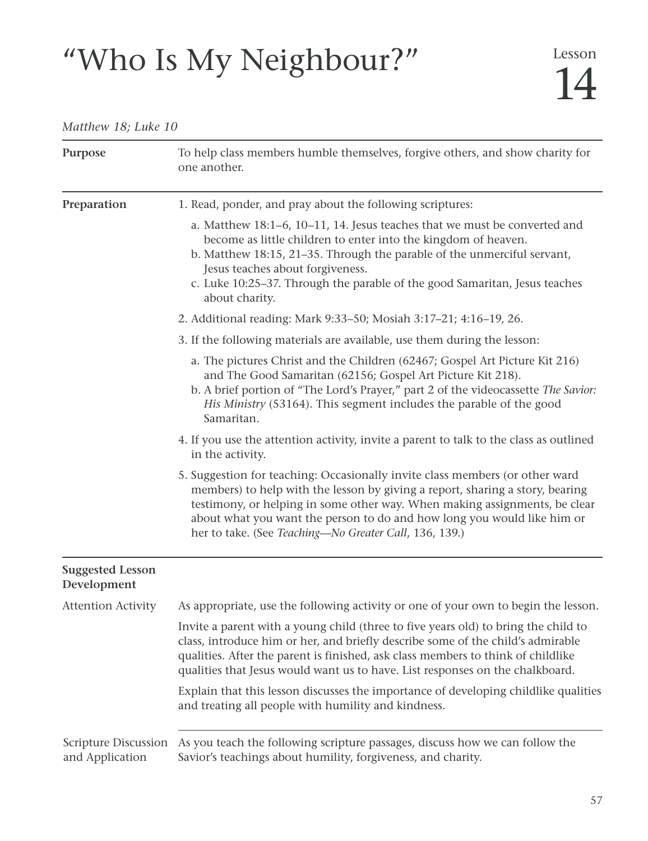# "Who Is My Neighbour?" 14

# *Matthew 18; Luke 10*

| Purpose                                        | To help class members humble themselves, forgive others, and show charity for<br>one another.                                                                                                                                                                                                                                                                                    |
|------------------------------------------------|----------------------------------------------------------------------------------------------------------------------------------------------------------------------------------------------------------------------------------------------------------------------------------------------------------------------------------------------------------------------------------|
| Preparation                                    | 1. Read, ponder, and pray about the following scriptures:                                                                                                                                                                                                                                                                                                                        |
|                                                | a. Matthew 18:1-6, 10-11, 14. Jesus teaches that we must be converted and<br>become as little children to enter into the kingdom of heaven.<br>b. Matthew 18:15, 21-35. Through the parable of the unmerciful servant,<br>Jesus teaches about forgiveness.<br>c. Luke 10:25-37. Through the parable of the good Samaritan, Jesus teaches<br>about charity.                       |
|                                                | 2. Additional reading: Mark 9:33–50; Mosiah 3:17–21; 4:16–19, 26.                                                                                                                                                                                                                                                                                                                |
|                                                | 3. If the following materials are available, use them during the lesson:                                                                                                                                                                                                                                                                                                         |
|                                                | a. The pictures Christ and the Children (62467; Gospel Art Picture Kit 216)<br>and The Good Samaritan (62156; Gospel Art Picture Kit 218).<br>b. A brief portion of "The Lord's Prayer," part 2 of the videocassette The Savior:<br>His Ministry (53164). This segment includes the parable of the good<br>Samaritan.                                                            |
|                                                | 4. If you use the attention activity, invite a parent to talk to the class as outlined<br>in the activity.                                                                                                                                                                                                                                                                       |
|                                                | 5. Suggestion for teaching: Occasionally invite class members (or other ward<br>members) to help with the lesson by giving a report, sharing a story, bearing<br>testimony, or helping in some other way. When making assignments, be clear<br>about what you want the person to do and how long you would like him or<br>her to take. (See Teaching-No Greater Call, 136, 139.) |
| <b>Suggested Lesson</b><br>Development         |                                                                                                                                                                                                                                                                                                                                                                                  |
| <b>Attention Activity</b>                      | As appropriate, use the following activity or one of your own to begin the lesson.                                                                                                                                                                                                                                                                                               |
|                                                | Invite a parent with a young child (three to five years old) to bring the child to<br>class, introduce him or her, and briefly describe some of the child's admirable<br>qualities. After the parent is finished, ask class members to think of childlike<br>qualities that Jesus would want us to have. List responses on the chalkboard.                                       |
|                                                | Explain that this lesson discusses the importance of developing childlike qualities<br>and treating all people with humility and kindness.                                                                                                                                                                                                                                       |
| <b>Scripture Discussion</b><br>and Application | As you teach the following scripture passages, discuss how we can follow the<br>Savior's teachings about humility, forgiveness, and charity.                                                                                                                                                                                                                                     |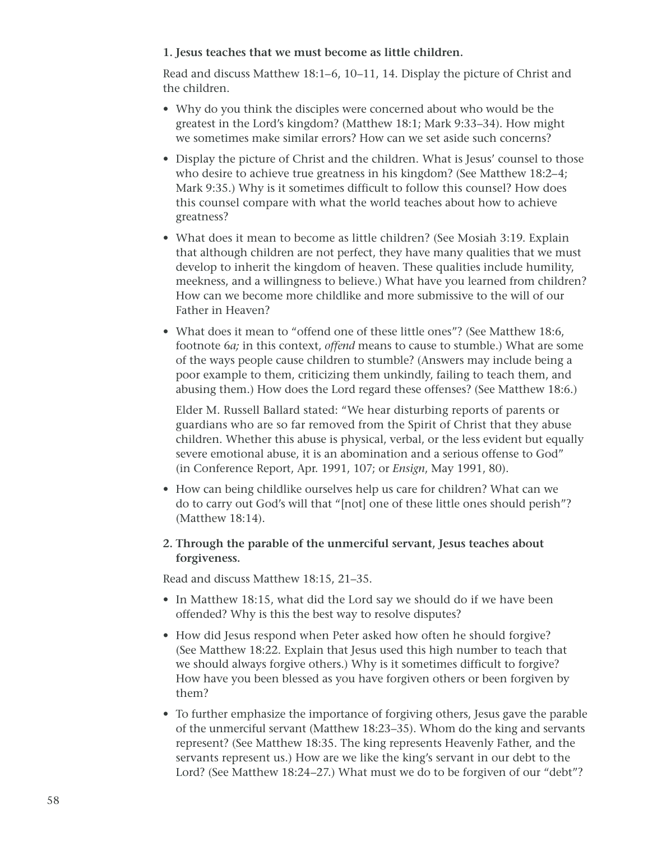# **1. Jesus teaches that we must become as little children.**

Read and discuss Matthew 18:1–6, 10–11, 14. Display the picture of Christ and the children.

- Why do you think the disciples were concerned about who would be the greatest in the Lord's kingdom? (Matthew 18:1; Mark 9:33–34). How might we sometimes make similar errors? How can we set aside such concerns?
- Display the picture of Christ and the children. What is Jesus' counsel to those who desire to achieve true greatness in his kingdom? (See Matthew 18:2–4; Mark 9:35.) Why is it sometimes difficult to follow this counsel? How does this counsel compare with what the world teaches about how to achieve greatness?
- What does it mean to become as little children? (See Mosiah 3:19. Explain that although children are not perfect, they have many qualities that we must develop to inherit the kingdom of heaven. These qualities include humility, meekness, and a willingness to believe.) What have you learned from children? How can we become more childlike and more submissive to the will of our Father in Heaven?
- What does it mean to "offend one of these little ones"? (See Matthew 18:6, footnote 6*a;* in this context, *offend* means to cause to stumble.) What are some of the ways people cause children to stumble? (Answers may include being a poor example to them, criticizing them unkindly, failing to teach them, and abusing them.) How does the Lord regard these offenses? (See Matthew 18:6.)

Elder M. Russell Ballard stated: "We hear disturbing reports of parents or guardians who are so far removed from the Spirit of Christ that they abuse children. Whether this abuse is physical, verbal, or the less evident but equally severe emotional abuse, it is an abomination and a serious offense to God" (in Conference Report, Apr. 1991, 107; or *Ensign*, May 1991, 80).

- How can being childlike ourselves help us care for children? What can we do to carry out God's will that "[not] one of these little ones should perish"? (Matthew 18:14).
- **2. Through the parable of the unmerciful servant, Jesus teaches about forgiveness.**

Read and discuss Matthew 18:15, 21–35.

- In Matthew 18:15, what did the Lord say we should do if we have been offended? Why is this the best way to resolve disputes?
- How did Jesus respond when Peter asked how often he should forgive? (See Matthew 18:22. Explain that Jesus used this high number to teach that we should always forgive others.) Why is it sometimes difficult to forgive? How have you been blessed as you have forgiven others or been forgiven by them?
- To further emphasize the importance of forgiving others, Jesus gave the parable of the unmerciful servant (Matthew 18:23–35). Whom do the king and servants represent? (See Matthew 18:35. The king represents Heavenly Father, and the servants represent us.) How are we like the king's servant in our debt to the Lord? (See Matthew 18:24–27.) What must we do to be forgiven of our "debt"?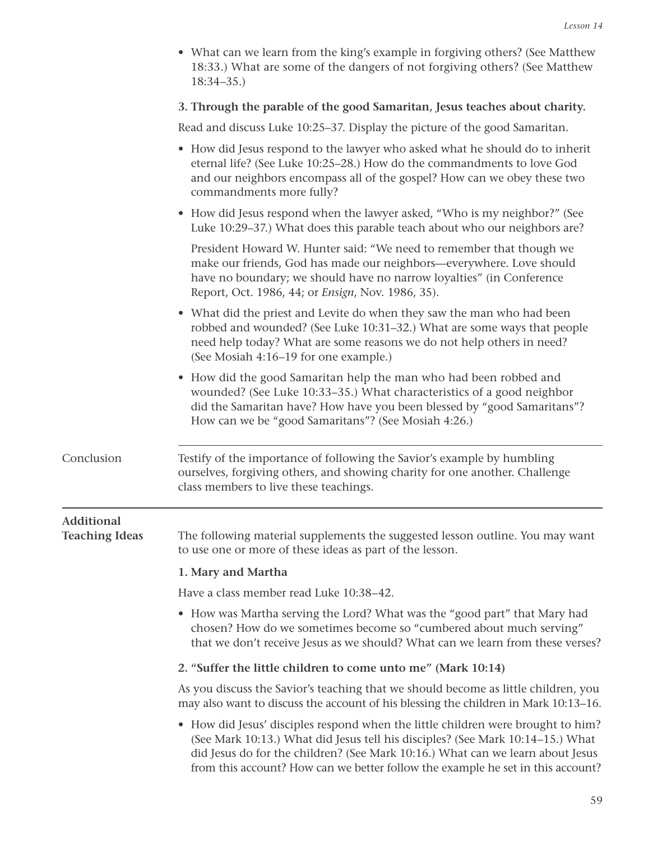• What can we learn from the king's example in forgiving others? (See Matthew 18:33.) What are some of the dangers of not forgiving others? (See Matthew 18:34–35.)

### **3. Through the parable of the good Samaritan, Jesus teaches about charity.**

Read and discuss Luke 10:25–37. Display the picture of the good Samaritan.

|                                     | • How did Jesus respond to the lawyer who asked what he should do to inherit<br>eternal life? (See Luke 10:25-28.) How do the commandments to love God<br>and our neighbors encompass all of the gospel? How can we obey these two<br>commandments more fully?                                                                          |
|-------------------------------------|-----------------------------------------------------------------------------------------------------------------------------------------------------------------------------------------------------------------------------------------------------------------------------------------------------------------------------------------|
|                                     | • How did Jesus respond when the lawyer asked, "Who is my neighbor?" (See<br>Luke 10:29–37.) What does this parable teach about who our neighbors are?                                                                                                                                                                                  |
|                                     | President Howard W. Hunter said: "We need to remember that though we<br>make our friends, God has made our neighbors-everywhere. Love should<br>have no boundary; we should have no narrow loyalties" (in Conference<br>Report, Oct. 1986, 44; or <i>Ensign</i> , Nov. 1986, 35).                                                       |
|                                     | • What did the priest and Levite do when they saw the man who had been<br>robbed and wounded? (See Luke 10:31-32.) What are some ways that people<br>need help today? What are some reasons we do not help others in need?<br>(See Mosiah 4:16-19 for one example.)                                                                     |
|                                     | • How did the good Samaritan help the man who had been robbed and<br>wounded? (See Luke 10:33-35.) What characteristics of a good neighbor<br>did the Samaritan have? How have you been blessed by "good Samaritans"?<br>How can we be "good Samaritans"? (See Mosiah 4:26.)                                                            |
| Conclusion                          | Testify of the importance of following the Savior's example by humbling<br>ourselves, forgiving others, and showing charity for one another. Challenge<br>class members to live these teachings.                                                                                                                                        |
| Additional<br><b>Teaching Ideas</b> | The following material supplements the suggested lesson outline. You may want<br>to use one or more of these ideas as part of the lesson.                                                                                                                                                                                               |
|                                     | 1. Mary and Martha                                                                                                                                                                                                                                                                                                                      |
|                                     | Have a class member read Luke 10:38-42.                                                                                                                                                                                                                                                                                                 |
|                                     | • How was Martha serving the Lord? What was the "good part" that Mary had<br>chosen? How do we sometimes become so "cumbered about much serving"<br>that we don't receive Jesus as we should? What can we learn from these verses?                                                                                                      |
|                                     | 2. "Suffer the little children to come unto me" (Mark 10:14)                                                                                                                                                                                                                                                                            |
|                                     | As you discuss the Savior's teaching that we should become as little children, you<br>may also want to discuss the account of his blessing the children in Mark 10:13-16.                                                                                                                                                               |
|                                     | • How did Jesus' disciples respond when the little children were brought to him?<br>(See Mark 10:13.) What did Jesus tell his disciples? (See Mark 10:14-15.) What<br>did Jesus do for the children? (See Mark 10:16.) What can we learn about Jesus<br>from this account? How can we better follow the example he set in this account? |